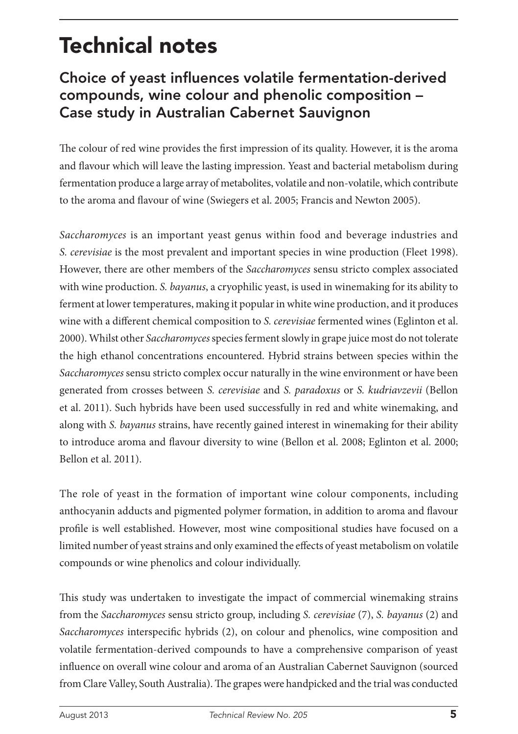# Technical notes

# Choice of yeast influences volatile fermentation-derived compounds, wine colour and phenolic composition – Case study in Australian Cabernet Sauvignon

The colour of red wine provides the first impression of its quality. However, it is the aroma and flavour which will leave the lasting impression. Yeast and bacterial metabolism during fermentation produce a large array of metabolites, volatile and non-volatile, which contribute to the aroma and flavour of wine (Swiegers et al. 2005; Francis and Newton 2005).

*Saccharomyces* is an important yeast genus within food and beverage industries and *S. cerevisiae* is the most prevalent and important species in wine production (Fleet 1998). However, there are other members of the *Saccharomyces* sensu stricto complex associated with wine production. *S. bayanus*, a cryophilic yeast, is used in winemaking for its ability to ferment at lower temperatures, making it popular in white wine production, and it produces wine with a different chemical composition to *S. cerevisiae* fermented wines (Eglinton et al. 2000). Whilst other *Saccharomyces* species ferment slowly in grape juice most do not tolerate the high ethanol concentrations encountered. Hybrid strains between species within the *Saccharomyces* sensu stricto complex occur naturally in the wine environment or have been generated from crosses between *S. cerevisiae* and *S. paradoxus* or *S. kudriavzevii* (Bellon et al. 2011). Such hybrids have been used successfully in red and white winemaking, and along with *S. bayanus* strains, have recently gained interest in winemaking for their ability to introduce aroma and flavour diversity to wine (Bellon et al. 2008; Eglinton et al. 2000; Bellon et al. 2011).

The role of yeast in the formation of important wine colour components, including anthocyanin adducts and pigmented polymer formation, in addition to aroma and flavour profile is well established. However, most wine compositional studies have focused on a limited number of yeast strains and only examined the effects of yeast metabolism on volatile compounds or wine phenolics and colour individually.

This study was undertaken to investigate the impact of commercial winemaking strains from the *Saccharomyces* sensu stricto group, including *S. cerevisiae* (7), *S. bayanus* (2) and *Saccharomyces* interspecific hybrids (2), on colour and phenolics, wine composition and volatile fermentation-derived compounds to have a comprehensive comparison of yeast influence on overall wine colour and aroma of an Australian Cabernet Sauvignon (sourced from Clare Valley, South Australia). The grapes were handpicked and the trial was conducted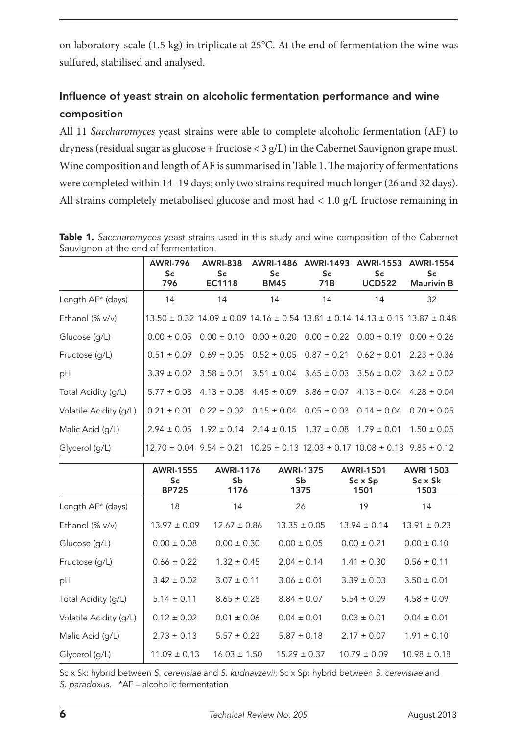on laboratory-scale (1.5 kg) in triplicate at 25°C. At the end of fermentation the wine was sulfured, stabilised and analysed.

# Influence of yeast strain on alcoholic fermentation performance and wine composition

All 11 *Saccharomyces* yeast strains were able to complete alcoholic fermentation (AF) to dryness (residual sugar as glucose + fructose < 3 g/L) in the Cabernet Sauvignon grape must. Wine composition and length of AF is summarised in Table 1. The majority of fermentations were completed within 14–19 days; only two strains required much longer (26 and 32 days). All strains completely metabolised glucose and most had < 1.0 g/L fructose remaining in

|                        | <b>AWRI-796</b><br>Sc.<br>796 | <b>AWRI-838</b><br>Sc.<br>EC1118 | Sc.<br><b>BM45</b> | AWRI-1486 AWRI-1493<br>Sc.<br>71B | AWRI-1553 AWRI-1554<br>Sc.<br><b>UCD522</b>                                                           | Sc<br><b>Maurivin B</b> |
|------------------------|-------------------------------|----------------------------------|--------------------|-----------------------------------|-------------------------------------------------------------------------------------------------------|-------------------------|
| Length AF* (days)      | 14                            | 14                               | 14                 | 14                                | 14                                                                                                    | 32                      |
| Ethanol (% v/v)        |                               |                                  |                    |                                   | $13.50 \pm 0.32$ 14.09 $\pm$ 0.09 14.16 $\pm$ 0.54 13.81 $\pm$ 0.14 14.13 $\pm$ 0.15 13.87 $\pm$ 0.48 |                         |
| Glucose (g/L)          |                               |                                  |                    |                                   | $0.00 \pm 0.05$ $0.00 \pm 0.10$ $0.00 \pm 0.20$ $0.00 \pm 0.22$ $0.00 \pm 0.19$ $0.00 \pm 0.26$       |                         |
| Fructose (q/L)         |                               |                                  |                    |                                   | $0.51 \pm 0.09$ $0.69 \pm 0.05$ $0.52 \pm 0.05$ $0.87 \pm 0.21$ $0.62 \pm 0.01$ $2.23 \pm 0.36$       |                         |
| pH                     |                               |                                  |                    |                                   | $3.39 \pm 0.02$ $3.58 \pm 0.01$ $3.51 \pm 0.04$ $3.65 \pm 0.03$ $3.56 \pm 0.02$ $3.62 \pm 0.02$       |                         |
| Total Acidity (q/L)    |                               |                                  |                    |                                   | $5.77 \pm 0.03$ 4.13 $\pm$ 0.08 4.45 $\pm$ 0.09 3.86 $\pm$ 0.07 4.13 $\pm$ 0.04 4.28 $\pm$ 0.04       |                         |
| Volatile Acidity (q/L) |                               |                                  |                    |                                   | $0.21 \pm 0.01$ $0.22 \pm 0.02$ $0.15 \pm 0.04$ $0.05 \pm 0.03$ $0.14 \pm 0.04$ $0.70 \pm 0.05$       |                         |
| Malic Acid (q/L)       |                               |                                  |                    |                                   | $2.94 \pm 0.05$ 1.92 $\pm$ 0.14 2.14 $\pm$ 0.15 1.37 $\pm$ 0.08 1.79 $\pm$ 0.01                       | $1.50 \pm 0.05$         |
| Glycerol (q/L)         |                               |                                  |                    |                                   | $12.70 \pm 0.04$ 9.54 $\pm$ 0.21 10.25 $\pm$ 0.13 12.03 $\pm$ 0.17 10.08 $\pm$ 0.13 9.85 $\pm$ 0.12   |                         |

|  |                                       |  |  |  |  |  |  | Table 1. Saccharomyces yeast strains used in this study and wine composition of the Cabernet |
|--|---------------------------------------|--|--|--|--|--|--|----------------------------------------------------------------------------------------------|
|  | Sauvignon at the end of fermentation. |  |  |  |  |  |  |                                                                                              |

|                        | <b>AWRI-1555</b><br>Sc<br><b>BP725</b> | <b>AWRI-1176</b><br>Sb.<br>1176 | <b>AWRI-1375</b><br>Sb<br>1375 | <b>AWRI-1501</b><br>$Sc \times Sp$<br>1501 | <b>AWRI 1503</b><br>Sc x Sk<br>1503 |
|------------------------|----------------------------------------|---------------------------------|--------------------------------|--------------------------------------------|-------------------------------------|
| Length AF* (days)      | 18                                     | 14                              | 26                             | 19                                         | 14                                  |
| Ethanol (% v/v)        | $13.97 \pm 0.09$                       | $12.67 \pm 0.86$                | $13.35 \pm 0.05$               | $13.94 \pm 0.14$                           | $13.91 \pm 0.23$                    |
| Glucose (g/L)          | $0.00 \pm 0.08$                        | $0.00 \pm 0.30$                 | $0.00 \pm 0.05$                | $0.00 \pm 0.21$                            | $0.00 \pm 0.10$                     |
| Fructose (g/L)         | $0.66 \pm 0.22$                        | $1.32 \pm 0.45$                 | $2.04 \pm 0.14$                | $1.41 \pm 0.30$                            | $0.56 \pm 0.11$                     |
| pH                     | $3.42 \pm 0.02$                        | $3.07 \pm 0.11$                 | $3.06 \pm 0.01$                | $3.39 \pm 0.03$                            | $3.50 \pm 0.01$                     |
| Total Acidity (q/L)    | $5.14 \pm 0.11$                        | $8.65 \pm 0.28$                 | $8.84 \pm 0.07$                | $5.54 \pm 0.09$                            | $4.58 \pm 0.09$                     |
| Volatile Acidity (g/L) | $0.12 \pm 0.02$                        | $0.01 \pm 0.06$                 | $0.04 \pm 0.01$                | $0.03 \pm 0.01$                            | $0.04 \pm 0.01$                     |
| Malic Acid (q/L)       | $2.73 \pm 0.13$                        | $5.57 \pm 0.23$                 | $5.87 \pm 0.18$                | $2.17 \pm 0.07$                            | $1.91 \pm 0.10$                     |
| Glycerol (q/L)         | $11.09 \pm 0.13$                       | $16.03 \pm 1.50$                | $15.29 \pm 0.37$               | $10.79 \pm 0.09$                           | $10.98 \pm 0.18$                    |

Sc x Sk: hybrid between *S. cerevisiae* and *S. kudriavzevii*; Sc x Sp: hybrid between *S. cerevisiae* and *S. paradoxus.* \*AF – alcoholic fermentation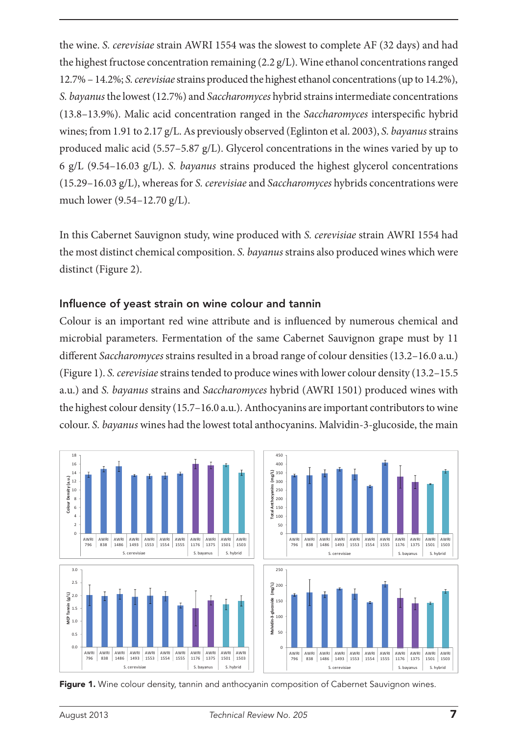the wine. *S. cerevisiae* strain AWRI 1554 was the slowest to complete AF (32 days) and had the highest fructose concentration remaining  $(2.2 \text{ g/L})$ . Wine ethanol concentrations ranged 12.7% – 14.2%; *S. cerevisiae* strains produced the highest ethanol concentrations (up to 14.2%), *S. bayanus* the lowest (12.7%) and *Saccharomyces* hybrid strains intermediate concentrations (13.8–13.9%). Malic acid concentration ranged in the *Saccharomyces* interspecific hybrid wines; from 1.91 to 2.17 g/L. As previously observed (Eglinton et al. 2003), *S. bayanus* strains produced malic acid (5.57–5.87 g/L). Glycerol concentrations in the wines varied by up to 6 g/L (9.54–16.03 g/L). *S. bayanus* strains produced the highest glycerol concentrations (15.29–16.03 g/L), whereas for *S. cerevisiae* and *Saccharomyces* hybrids concentrations were much lower (9.54–12.70 g/L).

In this Cabernet Sauvignon study, wine produced with *S. cerevisiae* strain AWRI 1554 had the most distinct chemical composition. *S. bayanus* strains also produced wines which were distinct (Figure 2).

#### Influence of yeast strain on wine colour and tannin

Colour is an important red wine attribute and is influenced by numerous chemical and microbial parameters. Fermentation of the same Cabernet Sauvignon grape must by 11 different *Saccharomyces* strains resulted in a broad range of colour densities (13.2–16.0 a.u.) (Figure 1). *S. cerevisiae* strains tended to produce wines with lower colour density (13.2–15.5 a.u.) and *S. bayanus* strains and *Saccharomyces* hybrid (AWRI 1501) produced wines with the highest colour density (15.7–16.0 a.u.). Anthocyanins are important contributors to wine colour. *S. bayanus* wines had the lowest total anthocyanins. Malvidin-3-glucoside, the main



Figure 1. Wine colour density, tannin and anthocyanin composition of Cabernet Sauvignon wines.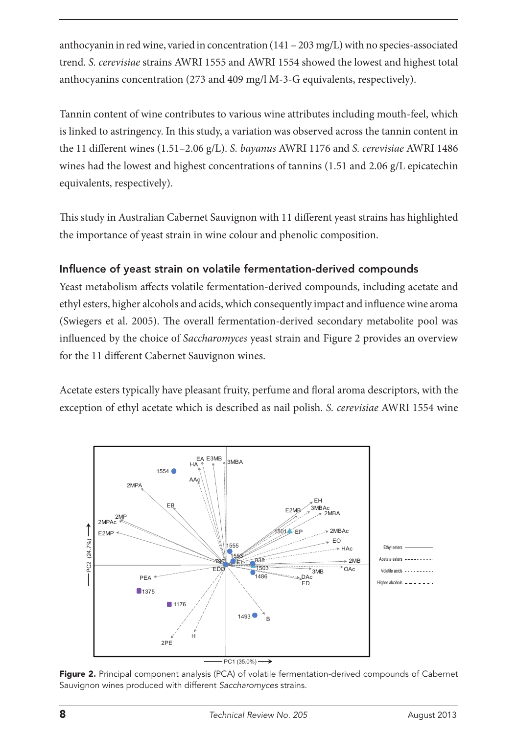anthocyanin in red wine, varied in concentration (141 – 203 mg/L) with no species-associated trend. *S. cerevisiae* strains AWRI 1555 and AWRI 1554 showed the lowest and highest total anthocyanins concentration (273 and 409 mg/l M-3-G equivalents, respectively).

Tannin content of wine contributes to various wine attributes including mouth-feel, which is linked to astringency. In this study, a variation was observed across the tannin content in the 11 different wines (1.51–2.06 g/L). *S. bayanus* AWRI 1176 and *S. cerevisiae* AWRI 1486 wines had the lowest and highest concentrations of tannins (1.51 and 2.06 g/L epicatechin equivalents, respectively).

This study in Australian Cabernet Sauvignon with 11 different yeast strains has highlighted the importance of yeast strain in wine colour and phenolic composition.

## Influence of yeast strain on volatile fermentation-derived compounds

Yeast metabolism affects volatile fermentation-derived compounds, including acetate and ethyl esters, higher alcohols and acids, which consequently impact and influence wine aroma (Swiegers et al. 2005). The overall fermentation-derived secondary metabolite pool was influenced by the choice of *Saccharomyces* yeast strain and Figure 2 provides an overview for the 11 different Cabernet Sauvignon wines.

Acetate esters typically have pleasant fruity, perfume and floral aroma descriptors, with the exception of ethyl acetate which is described as nail polish. *S. cerevisiae* AWRI 1554 wine



Figure 2. Principal component analysis (PCA) of volatile fermentation-derived compounds of Cabernet Sauvignon wines produced with different *Saccharomyces* strains.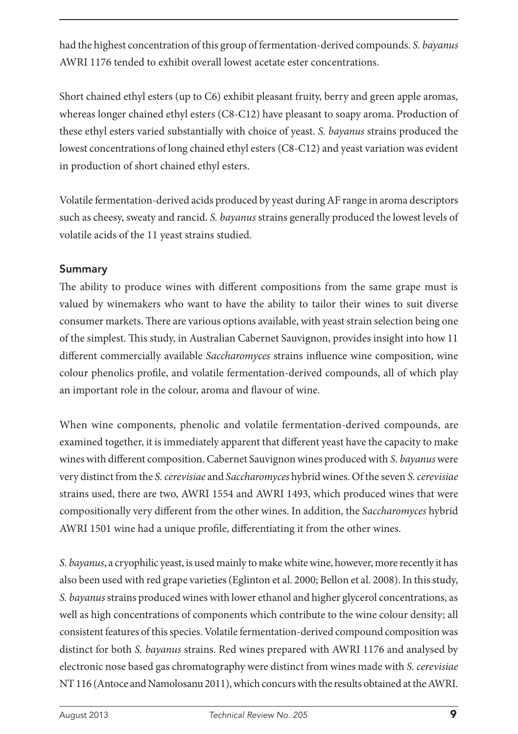had the highest concentration of this group of fermentation-derived compounds. *S. bayanus* AWRI 1176 tended to exhibit overall lowest acetate ester concentrations.

Short chained ethyl esters (up to C6) exhibit pleasant fruity, berry and green apple aromas, whereas longer chained ethyl esters (C8-C12) have pleasant to soapy aroma. Production of these ethyl esters varied substantially with choice of yeast. *S. bayanus* strains produced the lowest concentrations of long chained ethyl esters (C8-C12) and yeast variation was evident in production of short chained ethyl esters.

Volatile fermentation-derived acids produced by yeast during AF range in aroma descriptors such as cheesy, sweaty and rancid. *S. bayanus* strains generally produced the lowest levels of volatile acids of the 11 yeast strains studied.

### Summary

The ability to produce wines with different compositions from the same grape must is valued by winemakers who want to have the ability to tailor their wines to suit diverse consumer markets. There are various options available, with yeast strain selection being one of the simplest. This study, in Australian Cabernet Sauvignon, provides insight into how 11 different commercially available *Saccharomyces* strains influence wine composition, wine colour phenolics profile, and volatile fermentation-derived compounds, all of which play an important role in the colour, aroma and flavour of wine.

When wine components, phenolic and volatile fermentation-derived compounds, are examined together, it is immediately apparent that different yeast have the capacity to make wines with different composition. Cabernet Sauvignon wines produced with *S. bayanus* were very distinct from the *S. cerevisiae* and *Saccharomyces* hybrid wines. Of the seven *S. cerevisiae* strains used, there are two, AWRI 1554 and AWRI 1493, which produced wines that were compositionally very different from the other wines. In addition, the *Saccharomyces* hybrid AWRI 1501 wine had a unique profile, differentiating it from the other wines.

*S. bayanus*, a cryophilic yeast, is used mainly to make white wine, however, more recently it has also been used with red grape varieties (Eglinton et al. 2000; Bellon et al. 2008). In this study, *S. bayanus* strains produced wines with lower ethanol and higher glycerol concentrations, as well as high concentrations of components which contribute to the wine colour density; all consistent features of this species. Volatile fermentation-derived compound composition was distinct for both *S. bayanus* strains. Red wines prepared with AWRI 1176 and analysed by electronic nose based gas chromatography were distinct from wines made with *S. cerevisiae* NT 116 (Antoce and Namolosanu 2011), which concurs with the results obtained at the AWRI.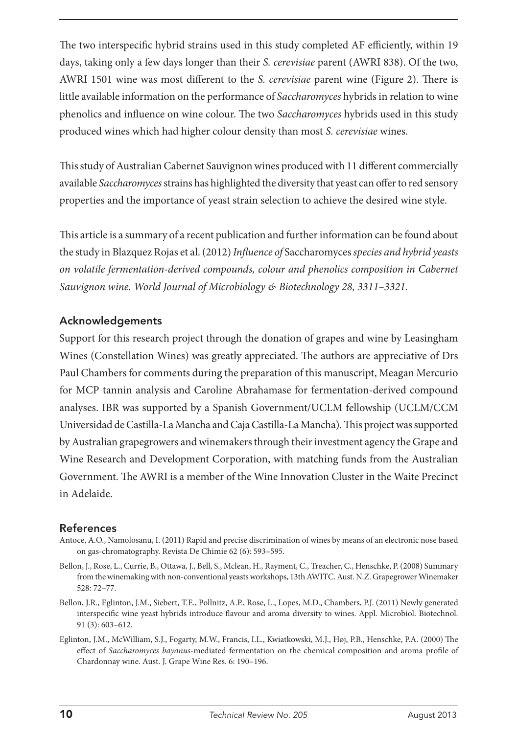The two interspecific hybrid strains used in this study completed AF efficiently, within 19 days, taking only a few days longer than their *S. cerevisiae* parent (AWRI 838). Of the two, AWRI 1501 wine was most different to the *S. cerevisiae* parent wine (Figure 2). There is little available information on the performance of *Saccharomyces* hybrids in relation to wine phenolics and influence on wine colour. The two *Saccharomyces* hybrids used in this study produced wines which had higher colour density than most *S. cerevisiae* wines.

This study of Australian Cabernet Sauvignon wines produced with 11 different commercially available *Saccharomyces* strains has highlighted the diversity that yeast can offer to red sensory properties and the importance of yeast strain selection to achieve the desired wine style.

This article is a summary of a recent publication and further information can be found about the study in Blazquez Rojas et al. (2012) *Influence of* Saccharomyces *species and hybrid yeasts on volatile fermentation-derived compounds, colour and phenolics composition in Cabernet Sauvignon wine. World Journal of Microbiology & Biotechnology 28, 3311–3321.*

#### Acknowledgements

Support for this research project through the donation of grapes and wine by Leasingham Wines (Constellation Wines) was greatly appreciated. The authors are appreciative of Drs Paul Chambers for comments during the preparation of this manuscript, Meagan Mercurio for MCP tannin analysis and Caroline Abrahamase for fermentation-derived compound analyses. IBR was supported by a Spanish Government/UCLM fellowship (UCLM/CCM Universidad de Castilla-La Mancha and Caja Castilla-La Mancha). This project was supported by Australian grapegrowers and winemakers through their investment agency the Grape and Wine Research and Development Corporation, with matching funds from the Australian Government. The AWRI is a member of the Wine Innovation Cluster in the Waite Precinct in Adelaide.

#### **References**

- Antoce, A.O., Namolosanu, I. (2011) Rapid and precise discrimination of wines by means of an electronic nose based on gas-chromatography. Revista De Chimie 62 (6): 593–595.
- Bellon, J., Rose, L., Currie, B., Ottawa, J., Bell, S., Mclean, H., Rayment, C., Treacher, C., Henschke, P. (2008) Summary from the winemaking with non-conventional yeasts workshops, 13th AWITC. Aust. N.Z. Grapegrower Winemaker 528: 72–77.
- Bellon, J.R., Eglinton, J.M., Siebert, T.E., Pollnitz, A.P., Rose, L., Lopes, M.D., Chambers, P.J. (2011) Newly generated interspecific wine yeast hybrids introduce flavour and aroma diversity to wines. Appl. Microbiol. Biotechnol. 91 (3): 603–612.
- Eglinton, J.M., McWilliam, S.J., Fogarty, M.W., Francis, I.L., Kwiatkowski, M.J., Høj, P.B., Henschke, P.A. (2000) The effect of *Saccharomyces bayanus*-mediated fermentation on the chemical composition and aroma profile of Chardonnay wine. Aust. J. Grape Wine Res. 6: 190–196.